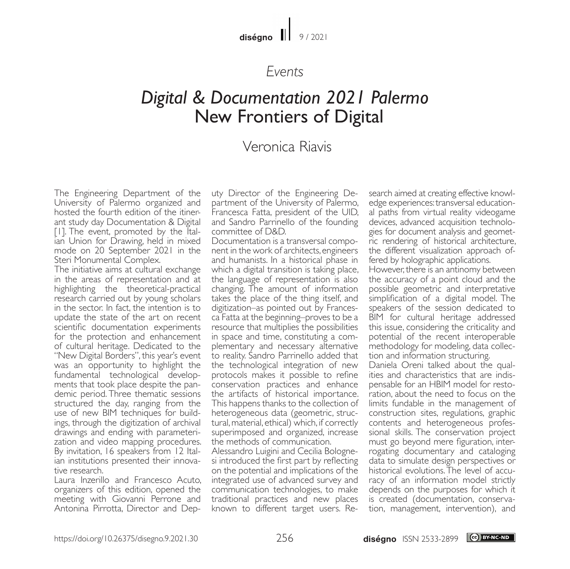### diségno  $||$  9/2021

## *Events*

# *Digital & Documentation 2021 Palermo* New Frontiers of Digital

# Veronica Riavis

The Engineering Department of the University of Palermo organized and hosted the fourth edition of the itinerant study day Documentation & Digital [1]. The event, promoted by the Italian Union for Drawing, held in mixed mode on 20 September 2021 in the Steri Monumental Complex.

The initiative aims at cultural exchange in the areas of representation and at highlighting the theoretical-practical research carried out by young scholars in the sector. In fact, the intention is to update the state of the art on recent scientific documentation experiments for the protection and enhancement of cultural heritage. Dedicated to the "New Digital Borders", this year's event was an opportunity to highlight the<br>fundamental technological developments that took place despite the pan-<br>demic period. Three thematic sessions structured the day, ranging from the use of new BIM techniques for buildings, through the digitization of archival drawings and ending with parameterization and video mapping procedures. By invitation, 16 speakers from 12 Italian institutions presented their innovative research.

Laura Inzerillo and Francesco Acuto, organizers of this edition, opened the meeting with Giovanni Perrone and Antonina Pirrotta, Director and Deputy Director of the Engineering Department of the University of Palermo, Francesca Fatta, president of the UID, and Sandro Parrinello of the founding committee of D&D.

Documentation is a transversal component in the work of architects, engineers and humanists. In a historical phase in which a digital transition is taking place, the language of representation is also changing. The amount of information takes the place of the thing itself, and digitization–as pointed out by Frances- ca Fatta at the beginning–proves to be a resource that multiplies the possibilities<br>in space and time, constituting a complementary and necessary alternative to reality. Sandro Parrinello added that the technological integration of new protocols makes it possible to refine conservation practices and enhance the artifacts of historical importance. This happens thanks to the collection of heterogeneous data (geometric, structural, material, ethical) which, if correctly superimposed and organized, increase the methods of communication.

Alessandro Luigini and Cecilia Bolognesi introduced the first part by reflecting on the potential and implications of the integrated use of advanced survey and communication technologies, to make traditional practices and new places known to different target users. Research aimed at creating effective knowledge experiences: transversal educational paths from virtual reality videogame devices, advanced acquisition technologies for document analysis and geometric rendering of historical architecture, the different visualization approach of- fered by holographic applications.

However, there is an antinomy between the accuracy of a point cloud and the possible geometric and interpretative simplification of a digital model. The speakers of the session dedicated to BIM for cultural heritage addressed this issue, considering the criticality and potential of the recent interoperable methodology for modeling, data collec- tion and information structuring.

Daniela Oreni talked about the qual-<br>ities and characteristics that are indis-<br>pensable for an HBIM model for resto-<br>ration, about the need to focus on the limits fundable in the management of construction sites, regulations, graphic contents and heterogeneous professional skills. The conservation project must go beyond mere figuration, interrogating documentary and cataloging data to simulate design perspectives or historical evolutions. The level of accuracy of an information model strictly depends on the purposes for which it is created (documentation, conserva- tion, management, intervention), and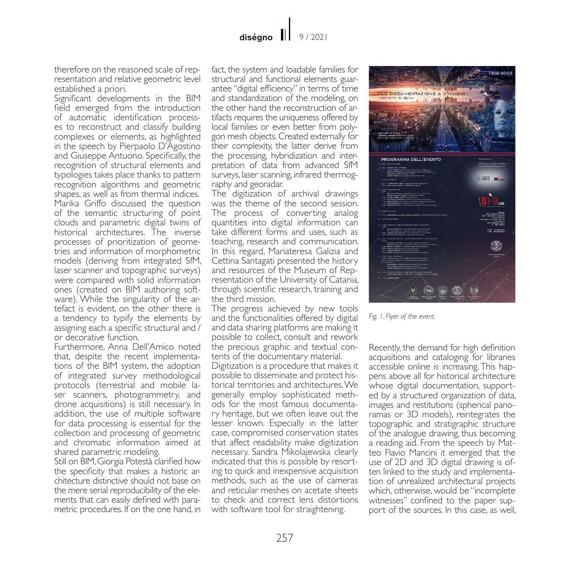therefore on the reasoned scale of rep- resentation and relative geometric level established a priori.

Significant developments in the BIM field emerged from the introduction of automatic identification process- es to reconstruct and classify building complexes or elements, as highlighted in the speech by Pierpaolo D'Agostino and Giuseppe Antuono. Specifically, the recognition of structural elements and typologies takes place thanks to pattern recognition algorithms and geometric shapes, as well as from thermal indices. Marika Griffo discussed the question of the semantic structuring of point clouds and parametric digital twins of historical architectures. The inverse<br>processes of prioritization of geometries and information of morphometric models (deriving from integrated SfM, laser scanner and topographic surveys) were compared with solid information ones (created on BIM authoring soft- ware). While the singularity of the ar- tefact is evident, on the other there is a tendency to typify the elements by assigning each a specific structural and / or decorative function.

Furthermore, Anna Dell'Amico noted that, despite the recent implementa- tions of the BIM system, the adoption of integrated survey methodological protocols (terrestrial and mobile laser scanners, photogrammetry, and drone acquisitions) is still necessary. In addition, the use of multiple software for data processing is essential for the collection and processing of geometric and chromatic information aimed at shared parametric modeling.

Still on BIM, Giorgia Potestà clarified how the specificity that makes a historic architecture distinctive should not base on the mere serial reproducibility of the elements that can easily defined with parametric procedures. If on the one hand, in

fact, the system and loadable families for structural and functional elements guarantee "digital efficiency" in terms of time and standardization of the modeling, on the other hand the reconstruction of artifacts requires the uniqueness offered by local families or even better from polygon mesh objects. Created externally for their complexity, the latter derive from the processing, hybridization and interpretation of data from advanced SfM surveys, laser scanning, infrared thermography and georadar.

The digitization of archival drawings was the theme of the second session. The process of converting analog quantities into digital information can take different forms and uses, such as teaching, research and communication. In this regard, Mariateresa Galizia and Cettina Santagati presented the history and resources of the Museum of Representation of the University of Catania, through scientific research, training and the third mission.

The progress achieved by new tools and the functionalities offered by digital and data sharing platforms are making it possible to collect, consult and rework the precious graphic and textual contents of the documentary material.

Digitization is a procedure that makes it possible to disseminate and protect historical territories and architectures. We generally employ sophisticated methods for the most famous documentary heritage, but we often leave out the lesser known. Especially in the latter case, compromised conservation states that affect readability make digitization necessary. Sandra Mikolajewska clearly indicated that this is possible by resorting to quick and inexpensive acquisition methods, such as the use of cameras and reticular meshes on acetate sheets to check and correct lens distortions with software tool for straightening.



*Fig. 1. Flyer of the event.*

Recently, the demand for high definition acquisitions and cataloging for libraries accessible online is increasing. This happens above all for historical architecture whose digital documentation, supported by a structured organization of data, images and restitutions (spherical pano- ramas or 3D models), reintegrates the topographic and stratigraphic structure of the analogue drawing, thus becoming a reading aid. From the speech by Mat- teo Flavio Mancini it emerged that the use of 2D and 3D digital drawing is often linked to the study and implementation of unrealized architectural projects which, otherwise, would be "incomplete witnesses" confined to the paper support of the sources. In this case, as well,